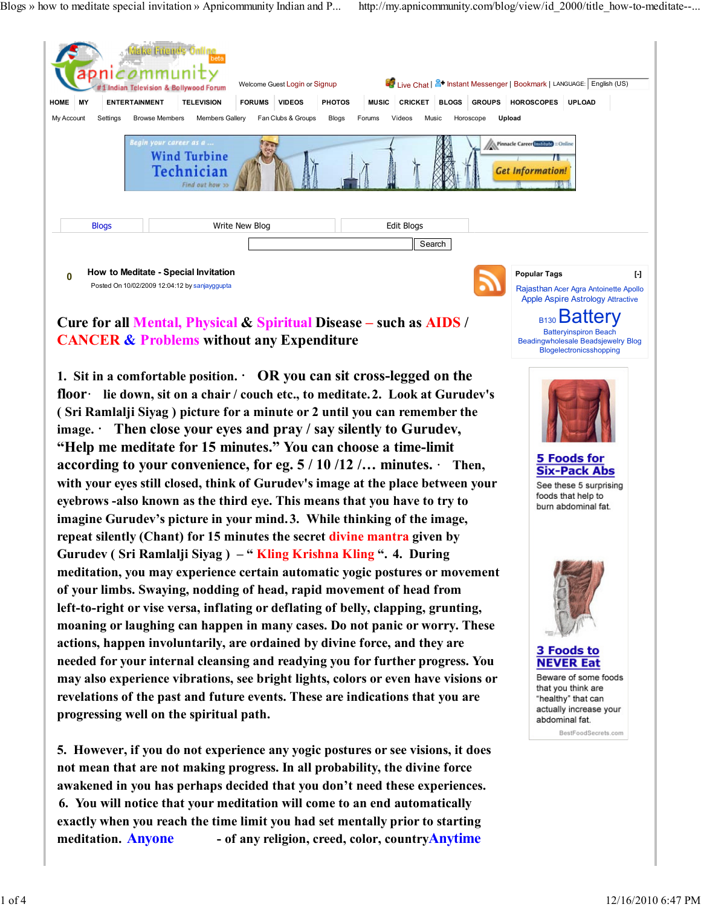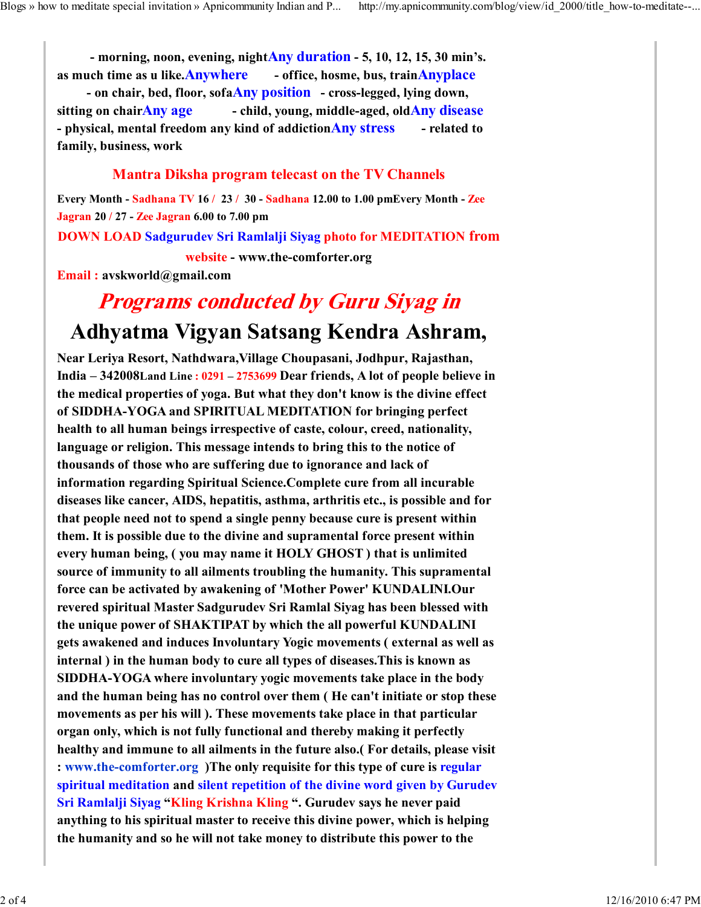- morning, noon, evening, nightAny duration - 5, 10, 12, 15, 30 min's. as much time as u like.Anywhere - office, hosme, bus, trainAnyplace

- on chair, bed, floor, sofaAny position - cross-legged, lying down, sitting on chair $\overline{Any \text{ age}}$  - child, young, middle-aged, old $\overline{Any \text{ disease}}$ - physical, mental freedom any kind of addiction **Any stress** - related to family, business, work

## Mantra Diksha program telecast on the TV Channels

Every Month - Sadhana TV 16 / 23 / 30 - Sadhana 12.00 to 1.00 pmEvery Month - Zee Jagran 20 / 27 - Zee Jagran 6.00 to 7.00 pm DOWN LOAD Sadgurudev Sri Ramlalji Siyag photo for MEDITATION from website - www.the-comforter.org

Email : avskworld@gmail.com

## Programs conducted by Guru Siyag in Adhyatma Vigyan Satsang Kendra Ashram,

Near Leriya Resort, Nathdwara,Village Choupasani, Jodhpur, Rajasthan, India – 342008Land Line : 0291 – 2753699 Dear friends, A lot of people believe in the medical properties of yoga. But what they don't know is the divine effect of SIDDHA-YOGA and SPIRITUAL MEDITATION for bringing perfect health to all human beings irrespective of caste, colour, creed, nationality, language or religion. This message intends to bring this to the notice of thousands of those who are suffering due to ignorance and lack of information regarding Spiritual Science.Complete cure from all incurable diseases like cancer, AIDS, hepatitis, asthma, arthritis etc., is possible and for that people need not to spend a single penny because cure is present within them. It is possible due to the divine and supramental force present within every human being, ( you may name it HOLY GHOST ) that is unlimited source of immunity to all ailments troubling the humanity. This supramental force can be activated by awakening of 'Mother Power' KUNDALINI.Our revered spiritual Master Sadgurudev Sri Ramlal Siyag has been blessed with the unique power of SHAKTIPAT by which the all powerful KUNDALINI gets awakened and induces Involuntary Yogic movements ( external as well as internal ) in the human body to cure all types of diseases.This is known as SIDDHA-YOGA where involuntary yogic movements take place in the body and the human being has no control over them ( He can't initiate or stop these movements as per his will ). These movements take place in that particular organ only, which is not fully functional and thereby making it perfectly healthy and immune to all ailments in the future also.( For details, please visit : www.the-comforter.org )The only requisite for this type of cure is regular spiritual meditation and silent repetition of the divine word given by Gurudev Sri Ramlalji Siyag "Kling Krishna Kling ". Gurudev says he never paid anything to his spiritual master to receive this divine power, which is helping the humanity and so he will not take money to distribute this power to the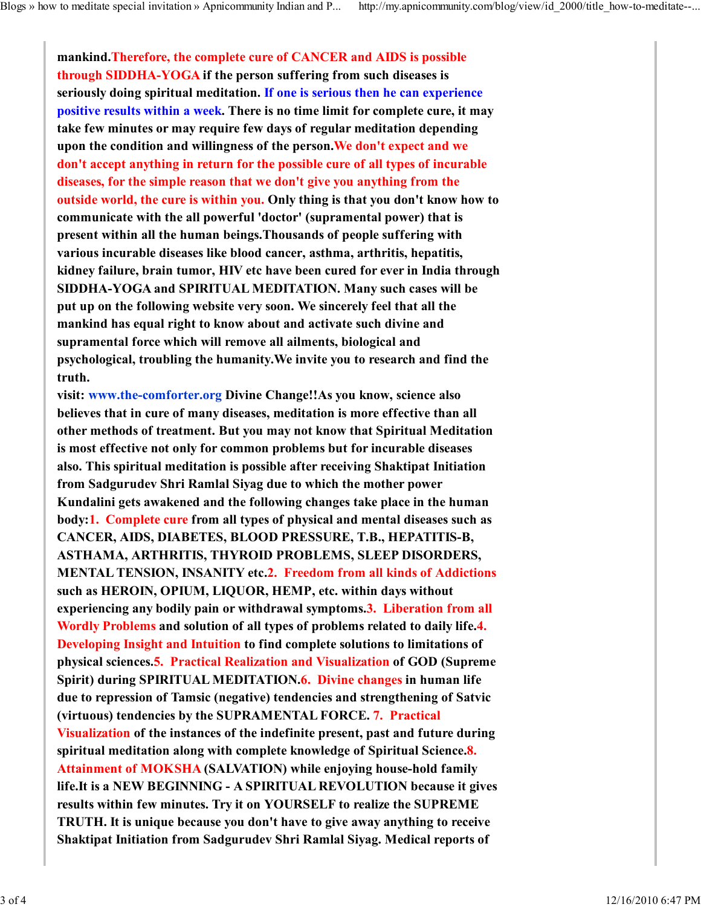mankind.Therefore, the complete cure of CANCER and AIDS is possible through SIDDHA-YOGA if the person suffering from such diseases is seriously doing spiritual meditation. If one is serious then he can experience positive results within a week. There is no time limit for complete cure, it may take few minutes or may require few days of regular meditation depending upon the condition and willingness of the person.We don't expect and we don't accept anything in return for the possible cure of all types of incurable diseases, for the simple reason that we don't give you anything from the outside world, the cure is within you. Only thing is that you don't know how to communicate with the all powerful 'doctor' (supramental power) that is present within all the human beings.Thousands of people suffering with various incurable diseases like blood cancer, asthma, arthritis, hepatitis, kidney failure, brain tumor, HIV etc have been cured for ever in India through SIDDHA-YOGA and SPIRITUAL MEDITATION. Many such cases will be put up on the following website very soon. We sincerely feel that all the mankind has equal right to know about and activate such divine and supramental force which will remove all ailments, biological and psychological, troubling the humanity.We invite you to research and find the truth.

visit: www.the-comforter.org Divine Change!!As you know, science also believes that in cure of many diseases, meditation is more effective than all other methods of treatment. But you may not know that Spiritual Meditation is most effective not only for common problems but for incurable diseases also. This spiritual meditation is possible after receiving Shaktipat Initiation from Sadgurudev Shri Ramlal Siyag due to which the mother power Kundalini gets awakened and the following changes take place in the human body:1. Complete cure from all types of physical and mental diseases such as CANCER, AIDS, DIABETES, BLOOD PRESSURE, T.B., HEPATITIS-B, ASTHAMA, ARTHRITIS, THYROID PROBLEMS, SLEEP DISORDERS, MENTAL TENSION, INSANITY etc.2. Freedom from all kinds of Addictions such as HEROIN, OPIUM, LIQUOR, HEMP, etc. within days without experiencing any bodily pain or withdrawal symptoms.3. Liberation from all Wordly Problems and solution of all types of problems related to daily life.4. Developing Insight and Intuition to find complete solutions to limitations of physical sciences.5. Practical Realization and Visualization of GOD (Supreme Spirit) during SPIRITUAL MEDITATION.6. Divine changes in human life due to repression of Tamsic (negative) tendencies and strengthening of Satvic (virtuous) tendencies by the SUPRAMENTAL FORCE. 7. Practical Visualization of the instances of the indefinite present, past and future during spiritual meditation along with complete knowledge of Spiritual Science.8. Attainment of MOKSHA (SALVATION) while enjoying house-hold family life.It is a NEW BEGINNING - A SPIRITUAL REVOLUTION because it gives results within few minutes. Try it on YOURSELF to realize the SUPREME TRUTH. It is unique because you don't have to give away anything to receive Shaktipat Initiation from Sadgurudev Shri Ramlal Siyag. Medical reports of